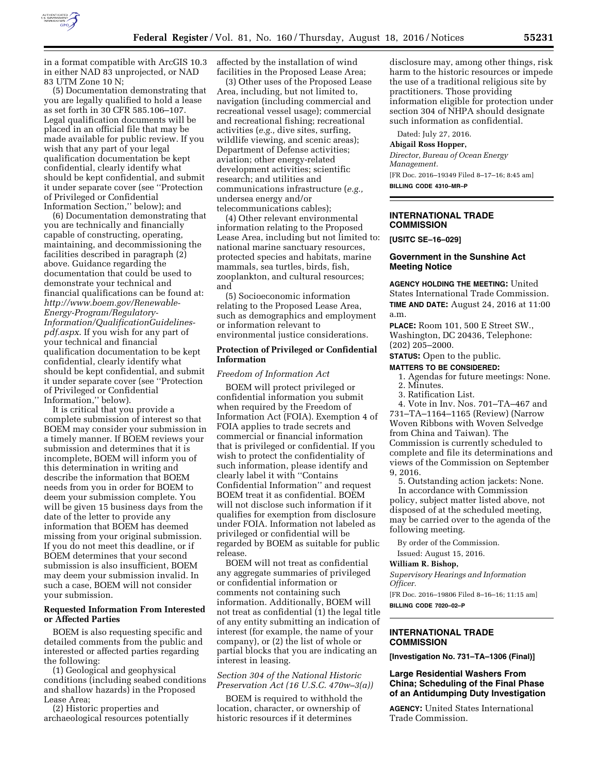

in a format compatible with ArcGIS 10.3 in either NAD 83 unprojected, or NAD 83 UTM Zone 10 N;

(5) Documentation demonstrating that you are legally qualified to hold a lease as set forth in 30 CFR 585.106–107. Legal qualification documents will be placed in an official file that may be made available for public review. If you wish that any part of your legal qualification documentation be kept confidential, clearly identify what should be kept confidential, and submit it under separate cover (see ''Protection of Privileged or Confidential Information Section,'' below); and

(6) Documentation demonstrating that you are technically and financially capable of constructing, operating, maintaining, and decommissioning the facilities described in paragraph (2) above. Guidance regarding the documentation that could be used to demonstrate your technical and financial qualifications can be found at: *[http://www.boem.gov/Renewable-](http://www.boem.gov/Renewable-Energy-Program/Regulatory-Information/QualificationGuidelines-pdf.aspx)[Energy-Program/Regulatory-](http://www.boem.gov/Renewable-Energy-Program/Regulatory-Information/QualificationGuidelines-pdf.aspx)[Information/QualificationGuidelines](http://www.boem.gov/Renewable-Energy-Program/Regulatory-Information/QualificationGuidelines-pdf.aspx)[pdf.aspx](http://www.boem.gov/Renewable-Energy-Program/Regulatory-Information/QualificationGuidelines-pdf.aspx)*. If you wish for any part of your technical and financial qualification documentation to be kept confidential, clearly identify what should be kept confidential, and submit it under separate cover (see ''Protection of Privileged or Confidential Information,'' below).

It is critical that you provide a complete submission of interest so that BOEM may consider your submission in a timely manner. If BOEM reviews your submission and determines that it is incomplete, BOEM will inform you of this determination in writing and describe the information that BOEM needs from you in order for BOEM to deem your submission complete. You will be given 15 business days from the date of the letter to provide any information that BOEM has deemed missing from your original submission. If you do not meet this deadline, or if BOEM determines that your second submission is also insufficient, BOEM may deem your submission invalid. In such a case, BOEM will not consider your submission.

#### **Requested Information From Interested or Affected Parties**

BOEM is also requesting specific and detailed comments from the public and interested or affected parties regarding the following:

(1) Geological and geophysical conditions (including seabed conditions and shallow hazards) in the Proposed Lease Area;

(2) Historic properties and archaeological resources potentially affected by the installation of wind facilities in the Proposed Lease Area;

(3) Other uses of the Proposed Lease Area, including, but not limited to, navigation (including commercial and recreational vessel usage); commercial and recreational fishing; recreational activities (*e.g.,* dive sites, surfing, wildlife viewing, and scenic areas); Department of Defense activities; aviation; other energy-related development activities; scientific research; and utilities and communications infrastructure (*e.g.,*  undersea energy and/or telecommunications cables);

(4) Other relevant environmental information relating to the Proposed Lease Area, including but not limited to: national marine sanctuary resources, protected species and habitats, marine mammals, sea turtles, birds, fish, zooplankton, and cultural resources; and

(5) Socioeconomic information relating to the Proposed Lease Area, such as demographics and employment or information relevant to environmental justice considerations.

#### **Protection of Privileged or Confidential Information**

#### *Freedom of Information Act*

BOEM will protect privileged or confidential information you submit when required by the Freedom of Information Act (FOIA). Exemption 4 of FOIA applies to trade secrets and commercial or financial information that is privileged or confidential. If you wish to protect the confidentiality of such information, please identify and clearly label it with ''Contains Confidential Information'' and request BOEM treat it as confidential. BOEM will not disclose such information if it qualifies for exemption from disclosure under FOIA. Information not labeled as privileged or confidential will be regarded by BOEM as suitable for public release.

BOEM will not treat as confidential any aggregate summaries of privileged or confidential information or comments not containing such information. Additionally, BOEM will not treat as confidential (1) the legal title of any entity submitting an indication of interest (for example, the name of your company), or (2) the list of whole or partial blocks that you are indicating an interest in leasing.

# *Section 304 of the National Historic Preservation Act (16 U.S.C. 470w–3(a))*

BOEM is required to withhold the location, character, or ownership of historic resources if it determines

disclosure may, among other things, risk harm to the historic resources or impede the use of a traditional religious site by practitioners. Those providing information eligible for protection under section 304 of NHPA should designate such information as confidential.

Dated: July 27, 2016. **Abigail Ross Hopper,**  *Director, Bureau of Ocean Energy Management.*  [FR Doc. 2016–19349 Filed 8–17–16; 8:45 am] **BILLING CODE 4310–MR–P** 

# **INTERNATIONAL TRADE COMMISSION**

**[USITC SE–16–029]** 

### **Government in the Sunshine Act Meeting Notice**

**AGENCY HOLDING THE MEETING:** United States International Trade Commission. **TIME AND DATE:** August 24, 2016 at 11:00 a.m.

**PLACE:** Room 101, 500 E Street SW., Washington, DC 20436, Telephone: (202) 205–2000.

# **STATUS:** Open to the public.

- **MATTERS TO BE CONSIDERED:** 
	- 1. Agendas for future meetings: None. 2. Minutes.
	- 3. Ratification List.
	- 4. Vote in Inv. Nos. 701–TA–467 and

731–TA–1164–1165 (Review) (Narrow Woven Ribbons with Woven Selvedge from China and Taiwan). The Commission is currently scheduled to complete and file its determinations and views of the Commission on September 9, 2016.

5. Outstanding action jackets: None.

In accordance with Commission policy, subject matter listed above, not disposed of at the scheduled meeting, may be carried over to the agenda of the following meeting.

By order of the Commission.

Issued: August 15, 2016.

#### **William R. Bishop,**

*Supervisory Hearings and Information Officer.* 

[FR Doc. 2016–19806 Filed 8–16–16; 11:15 am] **BILLING CODE 7020–02–P** 

# **INTERNATIONAL TRADE COMMISSION**

**[Investigation No. 731–TA–1306 (Final)]** 

### **Large Residential Washers From China; Scheduling of the Final Phase of an Antidumping Duty Investigation**

**AGENCY:** United States International Trade Commission.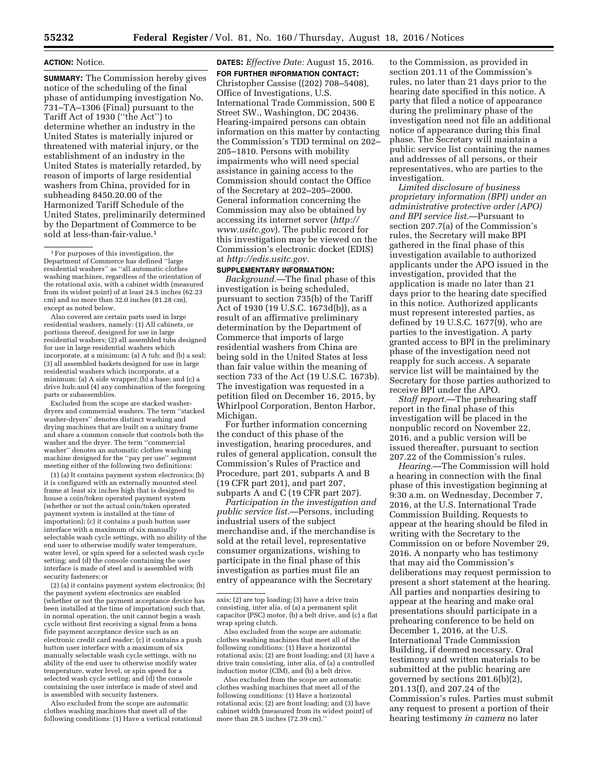#### **ACTION:** Notice.

**SUMMARY:** The Commission hereby gives notice of the scheduling of the final phase of antidumping investigation No. 731–TA–1306 (Final) pursuant to the Tariff Act of 1930 (''the Act'') to determine whether an industry in the United States is materially injured or threatened with material injury, or the establishment of an industry in the United States is materially retarded, by reason of imports of large residential washers from China, provided for in subheading 8450.20.00 of the Harmonized Tariff Schedule of the United States, preliminarily determined by the Department of Commerce to be sold at less-than-fair-value.<sup>1</sup>

1For purposes of this investigation, the Department of Commerce has defined ''large residential washers'' as ''all automatic clothes washing machines, regardless of the orientation of the rotational axis, with a cabinet width (measured from its widest point) of at least 24.5 inches (62.23 cm) and no more than 32.0 inches (81.28 cm), except as noted below.

Also covered are certain parts used in large residential washers, namely: (1) All cabinets, or portions thereof, designed for use in large residential washers; (2) all assembled tubs designed for use in large residential washers which incorporate, at a minimum: (a) A tub; and (b) a seal; (3) all assembled baskets designed for use in large residential washers which incorporate, at a minimum: (a) A side wrapper; (b) a base; and (c) a drive hub; and (4) any combination of the foregoing parts or subassemblies.

Excluded from the scope are stacked washerdryers and commercial washers. The term ''stacked washer-dryers'' denotes distinct washing and drying machines that are built on a unitary frame and share a common console that controls both the washer and the dryer. The term ''commercial washer'' denotes an automatic clothes washing machine designed for the ''pay per use'' segment meeting either of the following two definitions:

(1) (a) It contains payment system electronics; (b) it is configured with an externally mounted steel frame at least six inches high that is designed to house a coin/token operated payment system (whether or not the actual coin/token operated payment system is installed at the time of importation); (c) it contains a push button user interface with a maximum of six manually selectable wash cycle settings, with no ability of the end user to otherwise modify water temperature, water level, or spin speed for a selected wash cycle setting; and (d) the console containing the user interface is made of steel and is assembled with security fasteners; or

(2) (a) it contains payment system electronics; (b) the payment system electronics are enabled (whether or not the payment acceptance device has been installed at the time of importation) such that, in normal operation, the unit cannot begin a wash cycle without first receiving a signal from a bona fide payment acceptance device such as an electronic credit card reader; (c) it contains a push button user interface with a maximum of six manually selectable wash cycle settings, with no ability of the end user to otherwise modify water temperature, water level, or spin speed for a selected wash cycle setting; and (d) the console containing the user interface is made of steel and is assembled with security fasteners.

Also excluded from the scope are automatic clothes washing machines that meet all of the following conditions: (1) Have a vertical rotational **DATES:** *Effective Date:* August 15, 2016. **FOR FURTHER INFORMATION CONTACT:**  Christopher Cassise ((202) 708–5408), Office of Investigations, U.S. International Trade Commission, 500 E Street SW., Washington, DC 20436. Hearing-impaired persons can obtain information on this matter by contacting the Commission's TDD terminal on 202– 205–1810. Persons with mobility impairments who will need special assistance in gaining access to the Commission should contact the Office of the Secretary at 202–205–2000. General information concerning the Commission may also be obtained by accessing its internet server (*[http://](http://www.usitc.gov) [www.usitc.gov](http://www.usitc.gov)*). The public record for this investigation may be viewed on the Commission's electronic docket (EDIS) at *[http://edis.usitc.gov.](http://edis.usitc.gov)* 

#### **SUPPLEMENTARY INFORMATION:**

*Background.*—The final phase of this investigation is being scheduled, pursuant to section 735(b) of the Tariff Act of 1930 (19 U.S.C. 1673d(b)), as a result of an affirmative preliminary determination by the Department of Commerce that imports of large residential washers from China are being sold in the United States at less than fair value within the meaning of section 733 of the Act (19 U.S.C. 1673b). The investigation was requested in a petition filed on December 16, 2015, by Whirlpool Corporation, Benton Harbor, Michigan.

For further information concerning the conduct of this phase of the investigation, hearing procedures, and rules of general application, consult the Commission's Rules of Practice and Procedure, part 201, subparts A and B (19 CFR part 201), and part 207, subparts A and C (19 CFR part 207).

*Participation in the investigation and public service list.*—Persons, including industrial users of the subject merchandise and, if the merchandise is sold at the retail level, representative consumer organizations, wishing to participate in the final phase of this investigation as parties must file an entry of appearance with the Secretary

to the Commission, as provided in section 201.11 of the Commission's rules, no later than 21 days prior to the hearing date specified in this notice. A party that filed a notice of appearance during the preliminary phase of the investigation need not file an additional notice of appearance during this final phase. The Secretary will maintain a public service list containing the names and addresses of all persons, or their representatives, who are parties to the investigation.

*Limited disclosure of business proprietary information (BPI) under an administrative protective order (APO) and BPI service list.*—Pursuant to section 207.7(a) of the Commission's rules, the Secretary will make BPI gathered in the final phase of this investigation available to authorized applicants under the APO issued in the investigation, provided that the application is made no later than 21 days prior to the hearing date specified in this notice. Authorized applicants must represent interested parties, as defined by 19 U.S.C. 1677(9), who are parties to the investigation. A party granted access to BPI in the preliminary phase of the investigation need not reapply for such access. A separate service list will be maintained by the Secretary for those parties authorized to receive BPI under the APO.

*Staff report.*—The prehearing staff report in the final phase of this investigation will be placed in the nonpublic record on November 22, 2016, and a public version will be issued thereafter, pursuant to section 207.22 of the Commission's rules.

*Hearing.*—The Commission will hold a hearing in connection with the final phase of this investigation beginning at 9:30 a.m. on Wednesday, December 7, 2016, at the U.S. International Trade Commission Building. Requests to appear at the hearing should be filed in writing with the Secretary to the Commission on or before November 29, 2016. A nonparty who has testimony that may aid the Commission's deliberations may request permission to present a short statement at the hearing. All parties and nonparties desiring to appear at the hearing and make oral presentations should participate in a prehearing conference to be held on December 1, 2016, at the U.S. International Trade Commission Building, if deemed necessary. Oral testimony and written materials to be submitted at the public hearing are governed by sections 201.6(b)(2), 201.13(f), and 207.24 of the Commission's rules. Parties must submit any request to present a portion of their hearing testimony *in camera* no later

axis; (2) are top loading; (3) have a drive train consisting, inter alia, of (a) a permanent split capacitor (PSC) motor, (b) a belt drive, and (c) a flat wrap spring clutch.

Also excluded from the scope are automatic clothes washing machines that meet all of the following conditions: (1) Have a horizontal rotational axis; (2) are front loading; and (3) have a drive train consisting, inter alia, of (a) a controlled induction motor (CIM), and (b) a belt drive.

Also excluded from the scope are automatic clothes washing machines that meet all of the following conditions: (1) Have a horizontal rotational axis; (2) are front loading; and (3) have cabinet width (measured from its widest point) of more than 28.5 inches (72.39 cm).''